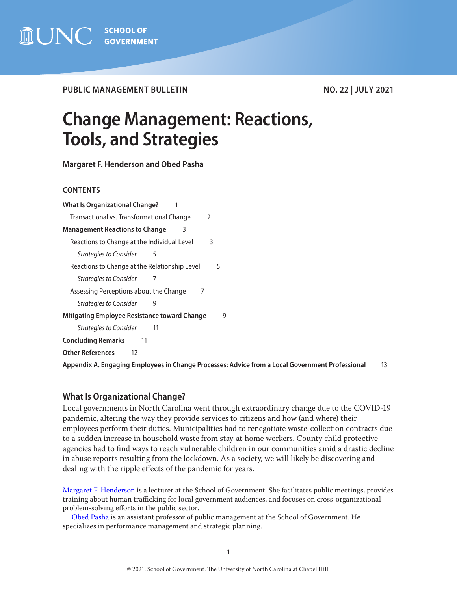

PUBLIC MANAGEMENT BULLETIN NO. 22 | JULY 2021

# **Change Management: Reactions, Tools, and Strategies**

**Margaret F. Henderson and Obed Pasha**

# **CONTENTS**

| <b>What Is Organizational Change?</b>                      |  |  |  |  |  |
|------------------------------------------------------------|--|--|--|--|--|
| Transactional vs. Transformational Change<br>$\mathcal{P}$ |  |  |  |  |  |
| <b>Management Reactions to Change</b><br>3                 |  |  |  |  |  |
| Reactions to Change at the Individual Level<br>3           |  |  |  |  |  |
| <b>Strategies to Consider</b><br>5                         |  |  |  |  |  |
| Reactions to Change at the Relationship Level<br>5         |  |  |  |  |  |
| Strategies to Consider                                     |  |  |  |  |  |
| Assessing Perceptions about the Change<br>7                |  |  |  |  |  |
| <b>Strategies to Consider</b><br>9                         |  |  |  |  |  |
| Mitigating Employee Resistance toward Change<br>9          |  |  |  |  |  |
| <b>Strategies to Consider</b><br>11                        |  |  |  |  |  |
| <b>Concluding Remarks</b><br>11                            |  |  |  |  |  |
| <b>Other References</b><br>12                              |  |  |  |  |  |

**[Appendix A. Engaging Employees in Change Processes: Advice from a Local Government Professional](#page-12-0)** 13

# **What Is Organizational Change?**

Local governments in North Carolina went through extraordinary change due to the COVID-19 pandemic, altering the way they provide services to citizens and how (and where) their employees perform their duties. Municipalities had to renegotiate waste-collection contracts due to a sudden increase in household waste from stay-at-home workers. County child protective agencies had to find ways to reach vulnerable children in our communities amid a drastic decline in abuse reports resulting from the lockdown. As a society, we will likely be discovering and dealing with the ripple effects of the pandemic for years.

[Margaret F. Henderson](https://www.sog.unc.edu/about/faculty-and-staff/margaret-f-henderson) is a lecturer at the School of Government. She facilitates public meetings, provides training about human trafficking for local government audiences, and focuses on cross-organizational problem-solving efforts in the public sector.

[Obed Pasha](https://www.sog.unc.edu/about/faculty-and-staff/obed-pasha) is an assistant professor of public management at the School of Government. He specializes in performance management and strategic planning.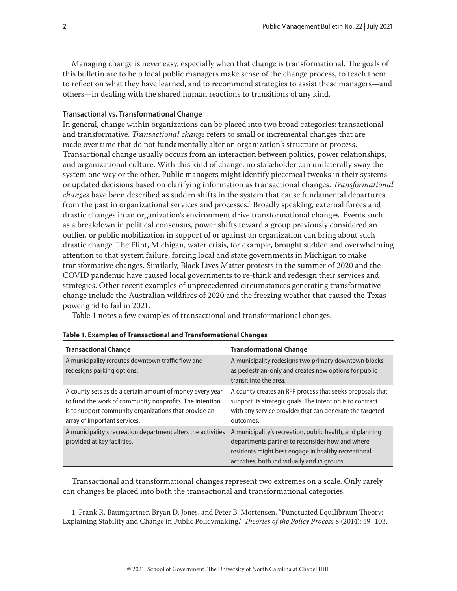<span id="page-1-0"></span>Managing change is never easy, especially when that change is transformational. The goals of this bulletin are to help local public managers make sense of the change process, to teach them to reflect on what they have learned, and to recommend strategies to assist these managers—and others—in dealing with the shared human reactions to transitions of any kind.

#### **Transactional vs. Transformational Change**

In general, change within organizations can be placed into two broad categories: transactional and transformative. *Transactional change* refers to small or incremental changes that are made over time that do not fundamentally alter an organization's structure or process. Transactional change usually occurs from an interaction between politics, power relationships, and organizational culture. With this kind of change, no stakeholder can unilaterally sway the system one way or the other. Public managers might identify piecemeal tweaks in their systems or updated decisions based on clarifying information as transactional changes. *Transformational changes* have been described as sudden shifts in the system that cause fundamental departures from the past in organizational services and processes.<sup>1</sup> Broadly speaking, external forces and drastic changes in an organization's environment drive transformational changes. Events such as a breakdown in political consensus, power shifts toward a group previously considered an outlier, or public mobilization in support of or against an organization can bring about such drastic change. The Flint, Michigan, water crisis, for example, brought sudden and overwhelming attention to that system failure, forcing local and state governments in Michigan to make transformative changes. Similarly, Black Lives Matter protests in the summer of 2020 and the COVID pandemic have caused local governments to re-think and redesign their services and strategies. Other recent examples of unprecedented circumstances generating transformative change include the Australian wildfires of 2020 and the freezing weather that caused the Texas power grid to fail in 2021.

Table 1 notes a few examples of transactional and transformational changes.

| <b>Transactional Change</b>                                                                                                                                                                                  | <b>Transformational Change</b>                                                                                                                                                                                     |
|--------------------------------------------------------------------------------------------------------------------------------------------------------------------------------------------------------------|--------------------------------------------------------------------------------------------------------------------------------------------------------------------------------------------------------------------|
| A municipality reroutes downtown traffic flow and<br>redesigns parking options.                                                                                                                              | A municipality redesigns two primary downtown blocks<br>as pedestrian-only and creates new options for public<br>transit into the area.                                                                            |
| A county sets aside a certain amount of money every year<br>to fund the work of community nonprofits. The intention<br>is to support community organizations that provide an<br>array of important services. | A county creates an RFP process that seeks proposals that<br>support its strategic goals. The intention is to contract<br>with any service provider that can generate the targeted<br>outcomes.                    |
| A municipality's recreation department alters the activities<br>provided at key facilities.                                                                                                                  | A municipality's recreation, public health, and planning<br>departments partner to reconsider how and where<br>residents might best engage in healthy recreational<br>activities, both individually and in groups. |

#### **Table 1. Examples of Transactional and Transformational Changes**

Transactional and transformational changes represent two extremes on a scale. Only rarely can changes be placed into both the transactional and transformational categories.

<sup>1.</sup> Frank R. Baumgartner, Bryan D. Jones, and Peter B. Mortensen, "Punctuated Equilibrium Theory: Explaining Stability and Change in Public Policymaking," *Theories of the Policy Process* 8 (2014): 59–103.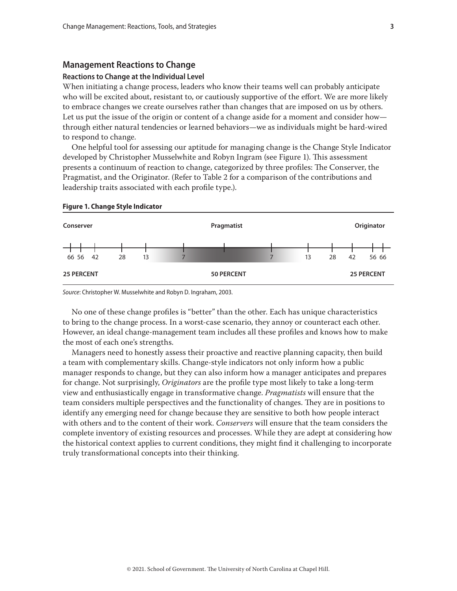## <span id="page-2-0"></span>**Management Reactions to Change**

#### **Reactions to Change at the Individual Level**

When initiating a change process, leaders who know their teams well can probably anticipate who will be excited about, resistant to, or cautiously supportive of the effort. We are more likely to embrace changes we create ourselves rather than changes that are imposed on us by others. Let us put the issue of the origin or content of a change aside for a moment and consider how through either natural tendencies or learned behaviors—we as individuals might be hard-wired to respond to change.

One helpful tool for assessing our aptitude for managing change is the Change Style Indicator developed by Christopher Musselwhite and Robyn Ingram (see Figure 1). This assessment presents a continuum of reaction to change, categorized by three profiles: The Conserver, the Pragmatist, and the Originator. (Refer to Table 2 for a comparison of the contributions and leadership traits associated with each profile type.).



#### **Figure 1. Change Style Indicator**

*Source*: Christopher W. Musselwhite and Robyn D. Ingraham, 2003.

No one of these change profiles is "better" than the other. Each has unique characteristics to bring to the change process. In a worst-case scenario, they annoy or counteract each other. However, an ideal change-management team includes all these profiles and knows how to make the most of each one's strengths.

Managers need to honestly assess their proactive and reactive planning capacity, then build a team with complementary skills. Change-style indicators not only inform how a public manager responds to change, but they can also inform how a manager anticipates and prepares for change. Not surprisingly, *Originators* are the profile type most likely to take a long-term view and enthusiastically engage in transformative change. *Pragmatists* will ensure that the team considers multiple perspectives and the functionality of changes. They are in positions to identify any emerging need for change because they are sensitive to both how people interact with others and to the content of their work. *Conservers* will ensure that the team considers the complete inventory of existing resources and processes. While they are adept at considering how the historical context applies to current conditions, they might find it challenging to incorporate truly transformational concepts into their thinking.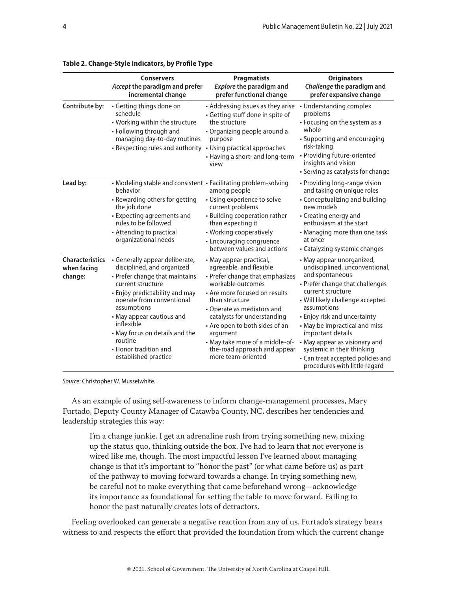|                                                  | <b>Conservers</b><br>Accept the paradigm and prefer<br>incremental change                                                                                                                                                                                                                                                                  | <b>Pragmatists</b><br><b>Explore the paradigm and</b><br>prefer functional change                                                                                                                                                                                                                                                                                 | <b>Originators</b><br>Challenge the paradigm and<br>prefer expansive change                                                                                                                                                                                                                                                                                                                                          |
|--------------------------------------------------|--------------------------------------------------------------------------------------------------------------------------------------------------------------------------------------------------------------------------------------------------------------------------------------------------------------------------------------------|-------------------------------------------------------------------------------------------------------------------------------------------------------------------------------------------------------------------------------------------------------------------------------------------------------------------------------------------------------------------|----------------------------------------------------------------------------------------------------------------------------------------------------------------------------------------------------------------------------------------------------------------------------------------------------------------------------------------------------------------------------------------------------------------------|
| Contribute by:                                   | • Getting things done on<br>schedule<br>• Working within the structure<br>• Following through and<br>managing day-to-day routines<br>• Respecting rules and authority                                                                                                                                                                      | • Addressing issues as they arise<br>· Getting stuff done in spite of<br>the structure<br>• Organizing people around a<br>purpose<br>• Using practical approaches<br>• Having a short- and long-term<br>view                                                                                                                                                      | • Understanding complex<br>problems<br>• Focusing on the system as a<br>whole<br>• Supporting and encouraging<br>risk-taking<br>• Providing future-oriented<br>insights and vision<br>• Serving as catalysts for change                                                                                                                                                                                              |
| Lead by:                                         | • Modeling stable and consistent • Facilitating problem-solving<br>behavior<br>• Rewarding others for getting<br>the job done<br>• Expecting agreements and<br>rules to be followed<br>• Attending to practical<br>organizational needs                                                                                                    | among people<br>• Using experience to solve<br>current problems<br>• Building cooperation rather<br>than expecting it<br>• Working cooperatively<br>• Encouraging congruence<br>between values and actions                                                                                                                                                        | • Providing long-range vision<br>and taking on unique roles<br>• Conceptualizing and building<br>new models<br>• Creating energy and<br>enthusiasm at the start<br>• Managing more than one task<br>at once<br>• Catalyzing systemic changes                                                                                                                                                                         |
| <b>Characteristics</b><br>when facing<br>change: | • Generally appear deliberate,<br>disciplined, and organized<br>• Prefer change that maintains<br>current structure<br>• Enjoy predictability and may<br>operate from conventional<br>assumptions<br>• May appear cautious and<br>inflexible<br>• May focus on details and the<br>routine<br>• Honor tradition and<br>established practice | • May appear practical,<br>agreeable, and flexible<br>• Prefer change that emphasizes<br>workable outcomes<br>• Are more focused on results<br>than structure<br>• Operate as mediators and<br>catalysts for understanding<br>• Are open to both sides of an<br>argument<br>• May take more of a middle-of-<br>the-road approach and appear<br>more team-oriented | • May appear unorganized,<br>undisciplined, unconventional,<br>and spontaneous<br>• Prefer change that challenges<br>current structure<br>• Will likely challenge accepted<br>assumptions<br>• Enjoy risk and uncertainty<br>• May be impractical and miss<br>important details<br>• May appear as visionary and<br>systemic in their thinking<br>• Can treat accepted policies and<br>procedures with little regard |

# **Table 2. Change-Style Indicators, by Profile Type**

*Source*: Christopher W. Musselwhite.

As an example of using self-awareness to inform change-management processes, Mary Furtado, Deputy County Manager of Catawba County, NC, describes her tendencies and leadership strategies this way:

I'm a change junkie. I get an adrenaline rush from trying something new, mixing up the status quo, thinking outside the box. I've had to learn that not everyone is wired like me, though. The most impactful lesson I've learned about managing change is that it's important to "honor the past" (or what came before us) as part of the pathway to moving forward towards a change. In trying something new, be careful not to make everything that came beforehand wrong—acknowledge its importance as foundational for setting the table to move forward. Failing to honor the past naturally creates lots of detractors.

Feeling overlooked can generate a negative reaction from any of us. Furtado's strategy bears witness to and respects the effort that provided the foundation from which the current change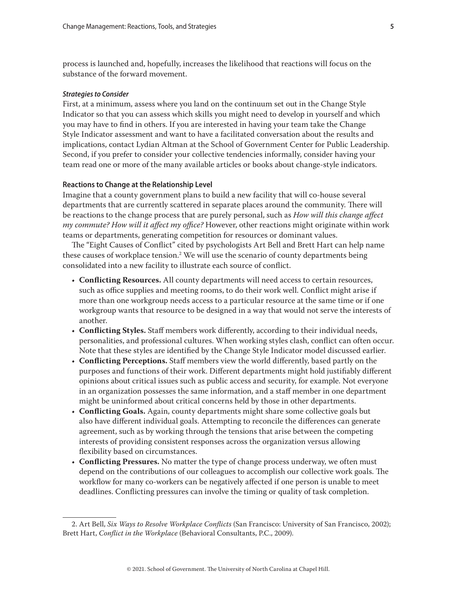<span id="page-4-0"></span>process is launched and, hopefully, increases the likelihood that reactions will focus on the substance of the forward movement.

#### *Strategies to Consider*

First, at a minimum, assess where you land on the continuum set out in the Change Style Indicator so that you can assess which skills you might need to develop in yourself and which you may have to find in others. If you are interested in having your team take the Change Style Indicator assessment and want to have a facilitated conversation about the results and implications, contact Lydian Altman at the School of Government Center for Public Leadership. Second, if you prefer to consider your collective tendencies informally, consider having your team read one or more of the many available articles or books about change-style indicators.

#### **Reactions to Change at the Relationship Level**

Imagine that a county government plans to build a new facility that will co-house several departments that are currently scattered in separate places around the community. There will be reactions to the change process that are purely personal, such as *How will this change affect my commute? How will it affect my office?* However, other reactions might originate within work teams or departments, generating competition for resources or dominant values.

The "Eight Causes of Conflict" cited by psychologists Art Bell and Brett Hart can help name these causes of workplace tension.<sup>2</sup> We will use the scenario of county departments being consolidated into a new facility to illustrate each source of conflict.

- **Conflicting Resources.** All county departments will need access to certain resources, such as office supplies and meeting rooms, to do their work well. Conflict might arise if more than one workgroup needs access to a particular resource at the same time or if one workgroup wants that resource to be designed in a way that would not serve the interests of another.
- **Conflicting Styles.** Staff members work differently, according to their individual needs, personalities, and professional cultures. When working styles clash, conflict can often occur. Note that these styles are identified by the Change Style Indicator model discussed earlier.
- **Conflicting Perceptions.** Staff members view the world differently, based partly on the purposes and functions of their work. Different departments might hold justifiably different opinions about critical issues such as public access and security, for example. Not everyone in an organization possesses the same information, and a staff member in one department might be uninformed about critical concerns held by those in other departments.
- **Conflicting Goals.** Again, county departments might share some collective goals but also have different individual goals. Attempting to reconcile the differences can generate agreement, such as by working through the tensions that arise between the competing interests of providing consistent responses across the organization versus allowing flexibility based on circumstances.
- **Conflicting Pressures.** No matter the type of change process underway, we often must depend on the contributions of our colleagues to accomplish our collective work goals. The workflow for many co-workers can be negatively affected if one person is unable to meet deadlines. Conflicting pressures can involve the timing or quality of task completion.

<sup>2.</sup> Art Bell, *Six Ways to Resolve Workplace Conflicts* (San Francisco: University of San Francisco, 2002); Brett Hart, *Conflict in the Workplace* (Behavioral Consultants, P.C., 2009).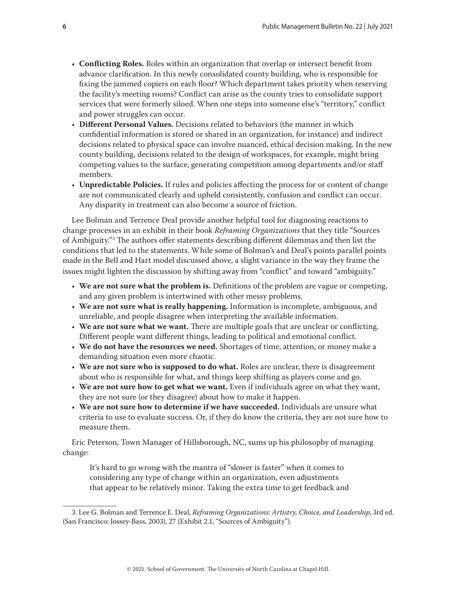- **Conflicting Roles.** Roles within an organization that overlap or intersect benefit from advance clarification. In this newly consolidated county building, who is responsible for fixing the jammed copiers on each floor? Which department takes priority when reserving the facility's meeting rooms? Conflict can arise as the county tries to consolidate support services that were formerly siloed. When one steps into someone else's "territory," conflict and power struggles can occur.
- **Different Personal Values.** Decisions related to behaviors (the manner in which confidential information is stored or shared in an organization, for instance) and indirect decisions related to physical space can involve nuanced, ethical decision making. In the new county building, decisions related to the design of workspaces, for example, might bring competing values to the surface, generating competition among departments and/or staff members.
- **Unpredictable Policies.** If rules and policies affecting the process for or content of change are not communicated clearly and upheld consistently, confusion and conflict can occur. Any disparity in treatment can also become a source of friction.

Lee Bolman and Terrence Deal provide another helpful tool for diagnosing reactions to change processes in an exhibit in their book *Reframing Organizations* that they title "Sources of Ambiguity."3 The authors offer statements describing different dilemmas and then list the conditions that led to the statements. While some of Bolman's and Deal's points parallel points made in the Bell and Hart model discussed above, a slight variance in the way they frame the issues might lighten the discussion by shifting away from "conflict" and toward "ambiguity."

- **We are not sure what the problem is.** Definitions of the problem are vague or competing, and any given problem is intertwined with other messy problems.
- **We are not sure what is really happening.** Information is incomplete, ambiguous, and unreliable, and people disagree when interpreting the available information.
- **We are not sure what we want.** There are multiple goals that are unclear or conflicting. Different people want different things, leading to political and emotional conflict.
- **We do not have the resources we need.** Shortages of time, attention, or money make a demanding situation even more chaotic.
- **We are not sure who is supposed to do what.** Roles are unclear, there is disagreement about who is responsible for what, and things keep shifting as players come and go.
- **We are not sure how to get what we want.** Even if individuals agree on what they want, they are not sure (or they disagree) about how to make it happen.
- **We are not sure how to determine if we have succeeded.** Individuals are unsure what criteria to use to evaluate success. Or, if they do know the criteria, they are not sure how to measure them.

Eric Peterson, Town Manager of Hillsborough, NC, sums up his philosophy of managing change:

It's hard to go wrong with the mantra of "slower is faster" when it comes to considering any type of change within an organization, even adjustments that appear to be relatively minor. Taking the extra time to get feedback and

<sup>3.</sup> Lee G. Bolman and Terrence E. Deal, *Reframing Organizations: Artistry, Choice, and Leadership*, 3rd ed. (San Francisco: Jossey-Bass, 2003), 27 (Exhibit 2.1, "Sources of Ambiguity").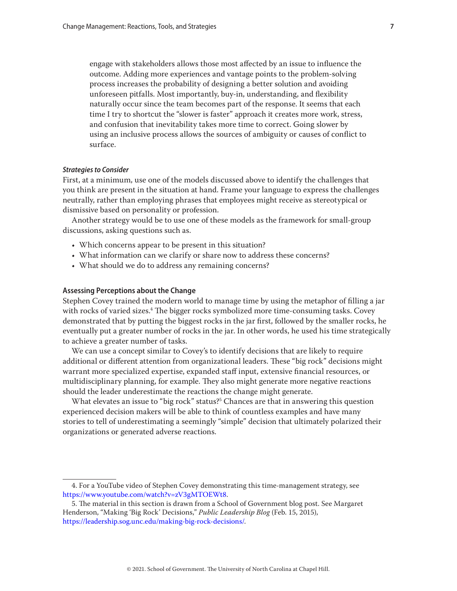<span id="page-6-0"></span>engage with stakeholders allows those most affected by an issue to influence the outcome. Adding more experiences and vantage points to the problem-solving process increases the probability of designing a better solution and avoiding unforeseen pitfalls. Most importantly, buy-in, understanding, and flexibility naturally occur since the team becomes part of the response. It seems that each time I try to shortcut the "slower is faster" approach it creates more work, stress, and confusion that inevitability takes more time to correct. Going slower by using an inclusive process allows the sources of ambiguity or causes of conflict to surface.

#### *Strategies to Consider*

First, at a minimum, use one of the models discussed above to identify the challenges that you think are present in the situation at hand. Frame your language to express the challenges neutrally, rather than employing phrases that employees might receive as stereotypical or dismissive based on personality or profession.

Another strategy would be to use one of these models as the framework for small-group discussions, asking questions such as.

- Which concerns appear to be present in this situation?
- What information can we clarify or share now to address these concerns?
- What should we do to address any remaining concerns?

#### **Assessing Perceptions about the Change**

Stephen Covey trained the modern world to manage time by using the metaphor of filling a jar with rocks of varied sizes.4 The bigger rocks symbolized more time-consuming tasks. Covey demonstrated that by putting the biggest rocks in the jar first, followed by the smaller rocks, he eventually put a greater number of rocks in the jar. In other words, he used his time strategically to achieve a greater number of tasks.

We can use a concept similar to Covey's to identify decisions that are likely to require additional or different attention from organizational leaders. These "big rock" decisions might warrant more specialized expertise, expanded staff input, extensive financial resources, or multidisciplinary planning, for example. They also might generate more negative reactions should the leader underestimate the reactions the change might generate.

What elevates an issue to "big rock" status?<sup>5</sup> Chances are that in answering this question experienced decision makers will be able to think of countless examples and have many stories to tell of underestimating a seemingly "simple" decision that ultimately polarized their organizations or generated adverse reactions.

<sup>4.</sup> For a YouTube video of Stephen Covey demonstrating this time-management strategy, see [https://www.youtube.com/watch?v=zV3gMTOEWt8.](https://www.youtube.com/watch?v=zV3gMTOEWt8)

<sup>5.</sup> The material in this section is drawn from a School of Government blog post. See Margaret Henderson, "Making 'Big Rock' Decisions," *Public Leadership Blog* (Feb. 15, 2015), <https://leadership.sog.unc.edu/making-big-rock-decisions/>.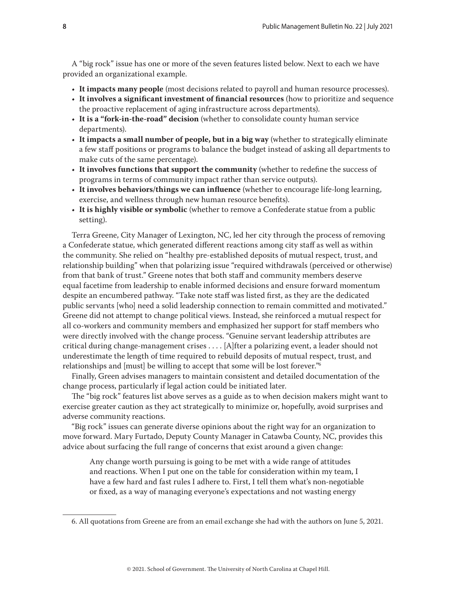A "big rock" issue has one or more of the seven features listed below. Next to each we have provided an organizational example.

- **It impacts many people** (most decisions related to payroll and human resource processes).
- **It involves a significant investment of financial resources** (how to prioritize and sequence the proactive replacement of aging infrastructure across departments).
- **It is a "fork-in-the-road" decision** (whether to consolidate county human service departments).
- **It impacts a small number of people, but in a big way** (whether to strategically eliminate a few staff positions or programs to balance the budget instead of asking all departments to make cuts of the same percentage).
- **It involves functions that support the community** (whether to redefine the success of programs in terms of community impact rather than service outputs).
- **It involves behaviors/things we can influence** (whether to encourage life-long learning, exercise, and wellness through new human resource benefits).
- **It is highly visible or symbolic** (whether to remove a Confederate statue from a public setting).

Terra Greene, City Manager of Lexington, NC, led her city through the process of removing a Confederate statue, which generated different reactions among city staff as well as within the community. She relied on "healthy pre-established deposits of mutual respect, trust, and relationship building" when that polarizing issue "required withdrawals (perceived or otherwise) from that bank of trust." Greene notes that both staff and community members deserve equal facetime from leadership to enable informed decisions and ensure forward momentum despite an encumbered pathway. "Take note staff was listed first, as they are the dedicated public servants [who] need a solid leadership connection to remain committed and motivated." Greene did not attempt to change political views. Instead, she reinforced a mutual respect for all co-workers and community members and emphasized her support for staff members who were directly involved with the change process. "Genuine servant leadership attributes are critical during change-management crises . . . . [A]fter a polarizing event, a leader should not underestimate the length of time required to rebuild deposits of mutual respect, trust, and relationships and [must] be willing to accept that some will be lost forever."6

Finally, Green advises managers to maintain consistent and detailed documentation of the change process, particularly if legal action could be initiated later.

The "big rock" features list above serves as a guide as to when decision makers might want to exercise greater caution as they act strategically to minimize or, hopefully, avoid surprises and adverse community reactions.

"Big rock" issues can generate diverse opinions about the right way for an organization to move forward. Mary Furtado, Deputy County Manager in Catawba County, NC, provides this advice about surfacing the full range of concerns that exist around a given change:

Any change worth pursuing is going to be met with a wide range of attitudes and reactions. When I put one on the table for consideration within my team, I have a few hard and fast rules I adhere to. First, I tell them what's non-negotiable or fixed, as a way of managing everyone's expectations and not wasting energy

<sup>6.</sup> All quotations from Greene are from an email exchange she had with the authors on June 5, 2021.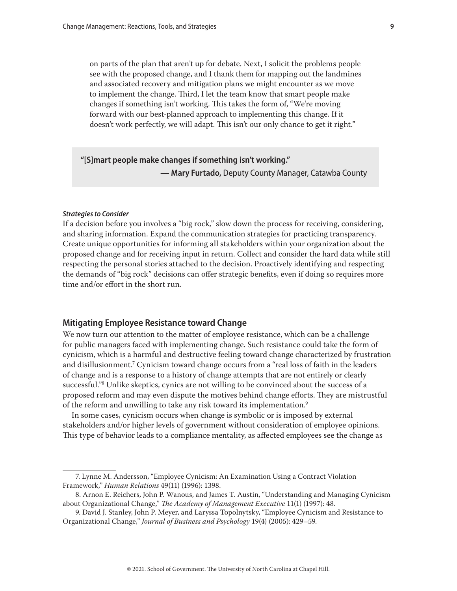<span id="page-8-0"></span>on parts of the plan that aren't up for debate. Next, I solicit the problems people see with the proposed change, and I thank them for mapping out the landmines and associated recovery and mitigation plans we might encounter as we move to implement the change. Third, I let the team know that smart people make changes if something isn't working. This takes the form of, "We're moving forward with our best-planned approach to implementing this change. If it doesn't work perfectly, we will adapt. This isn't our only chance to get it right."

# **"[S]mart people make changes if something isn't working." — Mary Furtado,** Deputy County Manager, Catawba County

#### *Strategies to Consider*

If a decision before you involves a "big rock," slow down the process for receiving, considering, and sharing information. Expand the communication strategies for practicing transparency. Create unique opportunities for informing all stakeholders within your organization about the proposed change and for receiving input in return. Collect and consider the hard data while still respecting the personal stories attached to the decision. Proactively identifying and respecting the demands of "big rock" decisions can offer strategic benefits, even if doing so requires more time and/or effort in the short run.

## **Mitigating Employee Resistance toward Change**

We now turn our attention to the matter of employee resistance, which can be a challenge for public managers faced with implementing change. Such resistance could take the form of cynicism, which is a harmful and destructive feeling toward change characterized by frustration and disillusionment.7 Cynicism toward change occurs from a "real loss of faith in the leaders of change and is a response to a history of change attempts that are not entirely or clearly successful."8 Unlike skeptics, cynics are not willing to be convinced about the success of a proposed reform and may even dispute the motives behind change efforts. They are mistrustful of the reform and unwilling to take any risk toward its implementation.<sup>9</sup>

In some cases, cynicism occurs when change is symbolic or is imposed by external stakeholders and/or higher levels of government without consideration of employee opinions. This type of behavior leads to a compliance mentality, as affected employees see the change as

<sup>7.</sup> Lynne M. Andersson, "Employee Cynicism: An Examination Using a Contract Violation Framework," *Human Relations* 49(11) (1996): 1398.

<sup>8.</sup> Arnon E. Reichers, John P. Wanous, and James T. Austin, "Understanding and Managing Cynicism about Organizational Change," *The Academy of Management Executive* 11(1) (1997): 48.

<sup>9.</sup> David J. Stanley, John P. Meyer, and Laryssa Topolnytsky, "Employee Cynicism and Resistance to Organizational Change," *Journal of Business and Psychology* 19(4) (2005): 429–59.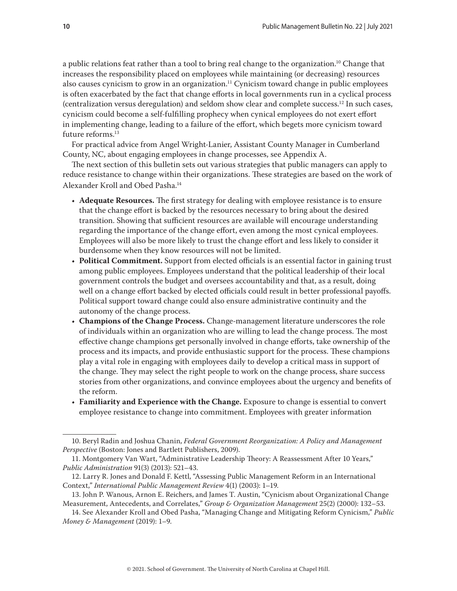a public relations feat rather than a tool to bring real change to the organization.10 Change that increases the responsibility placed on employees while maintaining (or decreasing) resources also causes cynicism to grow in an organization.11 Cynicism toward change in public employees is often exacerbated by the fact that change efforts in local governments run in a cyclical process (centralization versus deregulation) and seldom show clear and complete success.12 In such cases, cynicism could become a self-fulfilling prophecy when cynical employees do not exert effort in implementing change, leading to a failure of the effort, which begets more cynicism toward future reforms.<sup>13</sup>

For practical advice from Angel Wright-Lanier, Assistant County Manager in Cumberland County, NC, about engaging employees in change processes, see Appendix A.

The next section of this bulletin sets out various strategies that public managers can apply to reduce resistance to change within their organizations. These strategies are based on the work of Alexander Kroll and Obed Pasha.14

- **Adequate Resources.** The first strategy for dealing with employee resistance is to ensure that the change effort is backed by the resources necessary to bring about the desired transition. Showing that sufficient resources are available will encourage understanding regarding the importance of the change effort, even among the most cynical employees. Employees will also be more likely to trust the change effort and less likely to consider it burdensome when they know resources will not be limited.
- **Political Commitment.** Support from elected officials is an essential factor in gaining trust among public employees. Employees understand that the political leadership of their local government controls the budget and oversees accountability and that, as a result, doing well on a change effort backed by elected officials could result in better professional payoffs. Political support toward change could also ensure administrative continuity and the autonomy of the change process.
- **Champions of the Change Process.** Change-management literature underscores the role of individuals within an organization who are willing to lead the change process. The most effective change champions get personally involved in change efforts, take ownership of the process and its impacts, and provide enthusiastic support for the process. These champions play a vital role in engaging with employees daily to develop a critical mass in support of the change. They may select the right people to work on the change process, share success stories from other organizations, and convince employees about the urgency and benefits of the reform.
- **Familiarity and Experience with the Change.** Exposure to change is essential to convert employee resistance to change into commitment. Employees with greater information

<sup>10.</sup> Beryl Radin and Joshua Chanin, *Federal Government Reorganization: A Policy and Management Perspective* (Boston: Jones and Bartlett Publishers, 2009).

<sup>11.</sup> Montgomery Van Wart, "Administrative Leadership Theory: A Reassessment After 10 Years," *Public Administration* 91(3) (2013): 521–43.

<sup>12.</sup> Larry R. Jones and Donald F. Kettl, "Assessing Public Management Reform in an International Context," *International Public Management Review* 4(1) (2003): 1–19.

<sup>13.</sup> John P. Wanous, Arnon E. Reichers, and James T. Austin, "Cynicism about Organizational Change Measurement, Antecedents, and Correlates," *Group & Organization Management* 25(2) (2000): 132–53.

<sup>14.</sup> See Alexander Kroll and Obed Pasha, "Managing Change and Mitigating Reform Cynicism," *Public Money & Management* (2019): 1–9.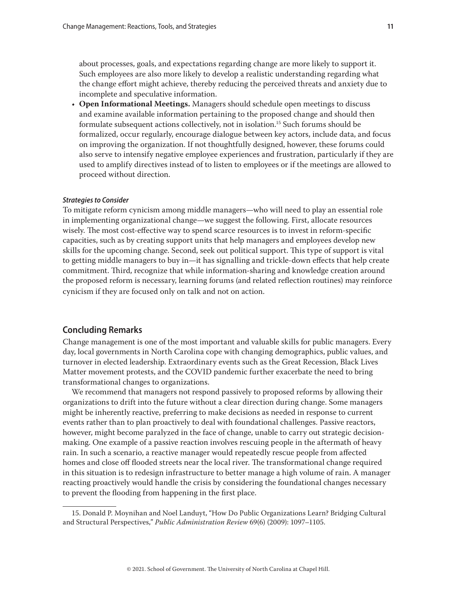<span id="page-10-0"></span>about processes, goals, and expectations regarding change are more likely to support it. Such employees are also more likely to develop a realistic understanding regarding what the change effort might achieve, thereby reducing the perceived threats and anxiety due to incomplete and speculative information.

• **Open Informational Meetings.** Managers should schedule open meetings to discuss and examine available information pertaining to the proposed change and should then formulate subsequent actions collectively, not in isolation.15 Such forums should be formalized, occur regularly, encourage dialogue between key actors, include data, and focus on improving the organization. If not thoughtfully designed, however, these forums could also serve to intensify negative employee experiences and frustration, particularly if they are used to amplify directives instead of to listen to employees or if the meetings are allowed to proceed without direction.

#### *Strategies to Consider*

To mitigate reform cynicism among middle managers—who will need to play an essential role in implementing organizational change—we suggest the following. First, allocate resources wisely. The most cost-effective way to spend scarce resources is to invest in reform-specific capacities, such as by creating support units that help managers and employees develop new skills for the upcoming change. Second, seek out political support. This type of support is vital to getting middle managers to buy in—it has signalling and trickle-down effects that help create commitment. Third, recognize that while information-sharing and knowledge creation around the proposed reform is necessary, learning forums (and related reflection routines) may reinforce cynicism if they are focused only on talk and not on action.

# **Concluding Remarks**

Change management is one of the most important and valuable skills for public managers. Every day, local governments in North Carolina cope with changing demographics, public values, and turnover in elected leadership. Extraordinary events such as the Great Recession, Black Lives Matter movement protests, and the COVID pandemic further exacerbate the need to bring transformational changes to organizations.

We recommend that managers not respond passively to proposed reforms by allowing their organizations to drift into the future without a clear direction during change. Some managers might be inherently reactive, preferring to make decisions as needed in response to current events rather than to plan proactively to deal with foundational challenges. Passive reactors, however, might become paralyzed in the face of change, unable to carry out strategic decisionmaking. One example of a passive reaction involves rescuing people in the aftermath of heavy rain. In such a scenario, a reactive manager would repeatedly rescue people from affected homes and close off flooded streets near the local river. The transformational change required in this situation is to redesign infrastructure to better manage a high volume of rain. A manager reacting proactively would handle the crisis by considering the foundational changes necessary to prevent the flooding from happening in the first place.

<sup>15.</sup> Donald P. Moynihan and Noel Landuyt, "How Do Public Organizations Learn? Bridging Cultural and Structural Perspectives," *Public Administration Review* 69(6) (2009): 1097–1105.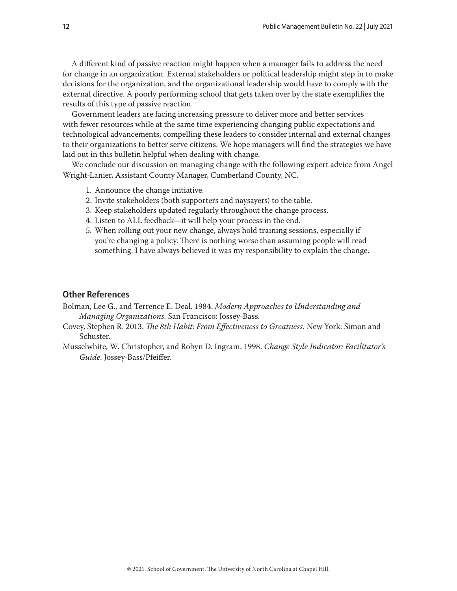<span id="page-11-0"></span>A different kind of passive reaction might happen when a manager fails to address the need for change in an organization. External stakeholders or political leadership might step in to make decisions for the organization, and the organizational leadership would have to comply with the external directive. A poorly performing school that gets taken over by the state exemplifies the results of this type of passive reaction.

Government leaders are facing increasing pressure to deliver more and better services with fewer resources while at the same time experiencing changing public expectations and technological advancements, compelling these leaders to consider internal and external changes to their organizations to better serve citizens. We hope managers will find the strategies we have laid out in this bulletin helpful when dealing with change.

We conclude our discussion on managing change with the following expert advice from Angel Wright-Lanier, Assistant County Manager, Cumberland County, NC.

- 1. Announce the change initiative.
- 2. Invite stakeholders (both supporters and naysayers) to the table.
- 3. Keep stakeholders updated regularly throughout the change process.
- 4. Listen to ALL feedback—it will help your process in the end.
- 5. When rolling out your new change, always hold training sessions, especially if you're changing a policy. There is nothing worse than assuming people will read something. I have always believed it was my responsibility to explain the change.

# **Other References**

Bolman, Lee G., and Terrence E. Deal. 1984. *Modern Approaches to Understanding and Managing Organizations*. San Francisco: Jossey-Bass.

- Covey, Stephen R. 2013. *The 8th Habit: From Effectiveness to Greatness*. New York: Simon and Schuster.
- Musselwhite, W. Christopher, and Robyn D. Ingram. 1998. *Change Style Indicator: Facilitator's Guide*. Jossey-Bass/Pfeiffer.